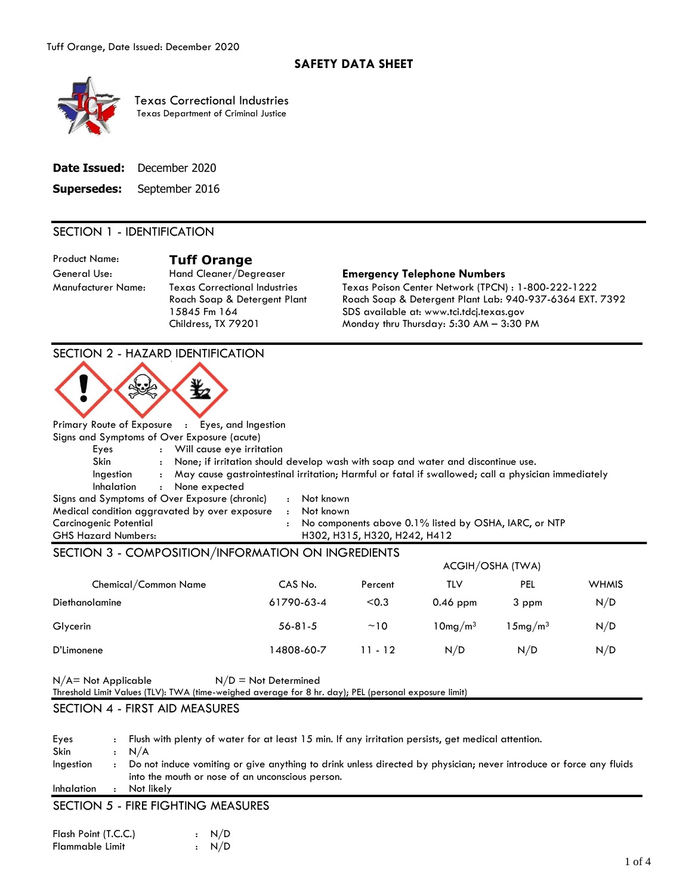

Texas Correctional Industries Texas Department of Criminal Justice

## SECTION 1 - IDENTIFICATION

Product Name: **Tuff Orange**<br>
General Use: Hand Cleaner/Degreaser

Manufacturer Name: Texas Correctional Industries Roach Soap & Detergent Plant 15845 Fm 164 Childress, TX 79201

#### **Emergency Telephone Numbers**

Texas Poison Center Network (TPCN) : 1-800-222-1222 Roach Soap & Detergent Plant Lab: 940-937-6364 EXT. 7392 SDS available at: www.tci.tdcj.texas.gov Monday thru Thursday: 5:30 AM – 3:30 PM

### SECTION 2 - HAZARD IDENTIFICATION



|                            | Primary Route of Exposure : Eyes, and ingestion            |                                                                                                    |
|----------------------------|------------------------------------------------------------|----------------------------------------------------------------------------------------------------|
|                            | Signs and Symptoms of Over Exposure (acute)                |                                                                                                    |
| Eyes                       | Will cause eye irritation                                  |                                                                                                    |
| Skin.                      |                                                            | None; if irritation should develop wash with soap and water and discontinue use.                   |
| Ingestion                  | $\ddot{\phantom{a}}$                                       | May cause gastrointestinal irritation; Harmful or fatal if swallowed; call a physician immediately |
| Inhalation                 | None expected<br>$\ddot{\phantom{a}}$                      |                                                                                                    |
|                            | Signs and Symptoms of Over Exposure (chronic)<br>Not known |                                                                                                    |
|                            | Medical condition aggravated by over exposure<br>Not known |                                                                                                    |
| Carcinogenic Potential     | $\ddot{\phantom{a}}$                                       | No components above 0.1% listed by OSHA, IARC, or NTP                                              |
| <b>GHS Hazard Numbers:</b> |                                                            | H302, H315, H320, H242, H412                                                                       |

# SECTION 3 - COMPOSITION/INFORMATION ON INGREDIENTS

|                      | ACGIH/OSHA (TWA) |           |                     |               |              |  |  |
|----------------------|------------------|-----------|---------------------|---------------|--------------|--|--|
| Chemical/Common Name | CAS No.          | Percent   | TLV                 | PEL           | <b>WHMIS</b> |  |  |
| Diethanolamine       | 61790-63-4       | < 0.3     | $0.46$ ppm          | 3 ppm         | N/D          |  |  |
| Glycerin             | $56 - 81 - 5$    | ~10       | 10mg/m <sup>3</sup> | $15$ mg $/m3$ | N/D          |  |  |
| D'Limonene           | 14808-60-7       | $11 - 12$ | N/D                 | N/D           | N/D          |  |  |

| $N/A = Not Applicable$ | $N/D = Not$ Determined                                                                                |  |
|------------------------|-------------------------------------------------------------------------------------------------------|--|
|                        | Threshold Limit Values (TLV): TWA (time-weighed average for 8 hr. day); PEL (personal exposure limit) |  |

### SECTION 4 - FIRST AID MEASURES

| Eyes              | Flush with plenty of water for at least 15 min. If any irritation persists, get medical attention.                                                                     |
|-------------------|------------------------------------------------------------------------------------------------------------------------------------------------------------------------|
| <b>Skin</b>       | N/A                                                                                                                                                                    |
| Ingestion         | Do not induce vomiting or give anything to drink unless directed by physician; never introduce or force any fluids<br>into the mouth or nose of an unconscious person. |
| <b>Inhalation</b> | Not likely                                                                                                                                                             |
|                   | SECTION 5 - FIRE FIGHTING MEASLIRES                                                                                                                                    |

#### SECTION 5 - FIRE FIGHTING MEASURES

| Flash Point (T.C.C.) | $\cdot$ N/D |
|----------------------|-------------|
| Flammable Limit      | $\cdot$ N/D |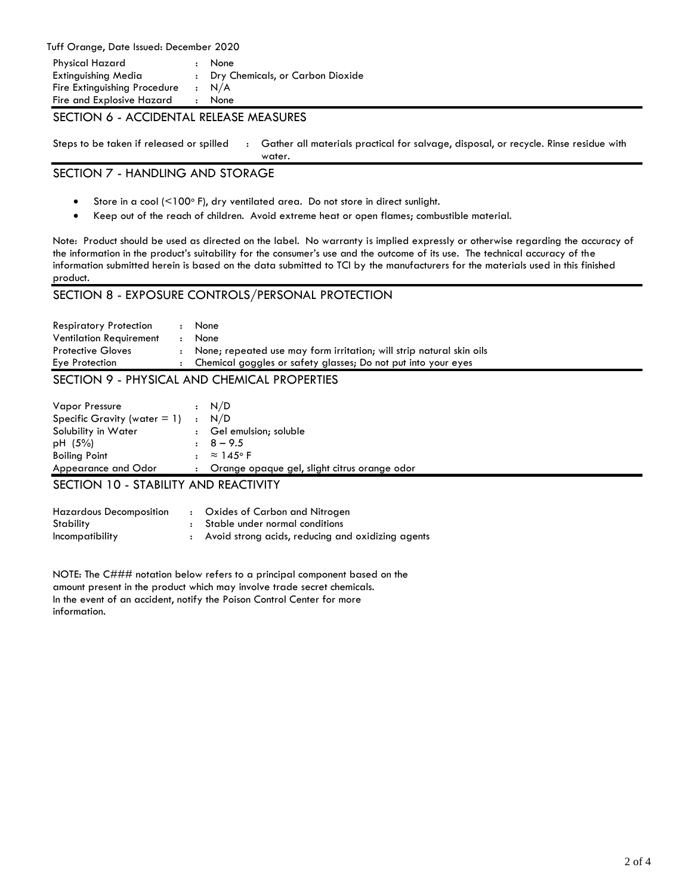Tuff Orange, Date Issued: December 2020

| <b>Physical Hazard</b>       | : None                             |
|------------------------------|------------------------------------|
| Extinguishing Media          | : Dry Chemicals, or Carbon Dioxide |
| Fire Extinguishing Procedure | $\cdot$ N/A                        |
| Fire and Explosive Hazard    | : None                             |
|                              |                                    |

#### SECTION 6 - ACCIDENTAL RELEASE MEASURES

Steps to be taken if released or spilled : Gather all materials practical for salvage, disposal, or recycle. Rinse residue with

### SECTION 7 - HANDLING AND STORAGE

Store in a cool (<100 $\circ$  F), dry ventilated area. Do not store in direct sunlight.

water.

Keep out of the reach of children. Avoid extreme heat or open flames; combustible material.

Note: Product should be used as directed on the label. No warranty is implied expressly or otherwise regarding the accuracy of the information in the product's suitability for the consumer's use and the outcome of its use. The technical accuracy of the information submitted herein is based on the data submitted to TCI by the manufacturers for the materials used in this finished product.

# SECTION 8 - EXPOSURE CONTROLS/PERSONAL PROTECTION

| <b>Respiratory Protection</b>  | $\ddot{\phantom{a}}$ | None                                                                   |
|--------------------------------|----------------------|------------------------------------------------------------------------|
| <b>Ventilation Requirement</b> | ٠                    | None                                                                   |
| <b>Protective Gloves</b>       |                      | : None: repeated use may form irritation; will strip natural skin oils |
| Eye Protection                 | $\bullet$            | Chemical goggles or safety glasses; Do not put into your eyes          |
|                                |                      |                                                                        |

# SECTION 9 - PHYSICAL AND CHEMICAL PROPERTIES

| Vapor Pressure                  | $\cdot$ N/D                                  |
|---------------------------------|----------------------------------------------|
| Specific Gravity (water $= 1$ ) | : N/D                                        |
| Solubility in Water             | : Gel emulsion; soluble                      |
| pH (5%)                         | $\pm 8-9.5$                                  |
| <b>Boiling Point</b>            | $: \approx 145$ °F                           |
| Appearance and Odor             | Orange opaque gel, slight citrus orange odor |

# SECTION 10 - STABILITY AND REACTIVITY

| <b>Hazardous Decomposition</b> | : Oxides of Carbon and Nitrogen                     |
|--------------------------------|-----------------------------------------------------|
| Stability                      | : Stable under normal conditions                    |
| Incompatibility                | : Avoid strong acids, reducing and oxidizing agents |

NOTE: The C### notation below refers to a principal component based on the amount present in the product which may involve trade secret chemicals. In the event of an accident, notify the Poison Control Center for more information.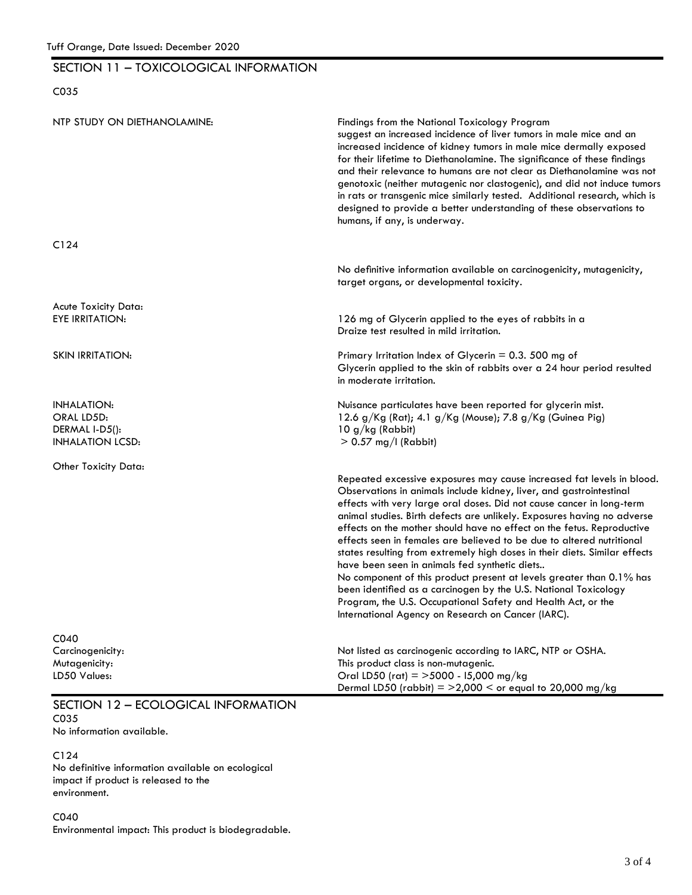# SECTION 11 – TOXICOLOGICAL INFORMATION

## C035

| NTP STUDY ON DIETHANOLAMINE:                                                  | Findings from the National Toxicology Program<br>suggest an increased incidence of liver tumors in male mice and an<br>increased incidence of kidney tumors in male mice dermally exposed<br>for their lifetime to Diethanolamine. The significance of these findings<br>and their relevance to humans are not clear as Diethanolamine was not<br>genotoxic (neither mutagenic nor clastogenic), and did not induce tumors<br>in rats or transgenic mice similarly tested. Additional research, which is<br>designed to provide a better understanding of these observations to<br>humans, if any, is underway.                                                                                                                                                                                                                                     |
|-------------------------------------------------------------------------------|-----------------------------------------------------------------------------------------------------------------------------------------------------------------------------------------------------------------------------------------------------------------------------------------------------------------------------------------------------------------------------------------------------------------------------------------------------------------------------------------------------------------------------------------------------------------------------------------------------------------------------------------------------------------------------------------------------------------------------------------------------------------------------------------------------------------------------------------------------|
| C124                                                                          |                                                                                                                                                                                                                                                                                                                                                                                                                                                                                                                                                                                                                                                                                                                                                                                                                                                     |
|                                                                               | No definitive information available on carcinogenicity, mutagenicity,<br>target organs, or developmental toxicity.                                                                                                                                                                                                                                                                                                                                                                                                                                                                                                                                                                                                                                                                                                                                  |
| Acute Toxicity Data:<br><b>EYE IRRITATION:</b>                                | 126 mg of Glycerin applied to the eyes of rabbits in a<br>Draize test resulted in mild irritation.                                                                                                                                                                                                                                                                                                                                                                                                                                                                                                                                                                                                                                                                                                                                                  |
| <b>SKIN IRRITATION:</b>                                                       | Primary Irritation Index of Glycerin = $0.3$ . 500 mg of<br>Glycerin applied to the skin of rabbits over a 24 hour period resulted<br>in moderate irritation.                                                                                                                                                                                                                                                                                                                                                                                                                                                                                                                                                                                                                                                                                       |
| <b>INHALATION:</b><br>ORAL LD5D:<br>DERMAL I-D5():<br><b>INHALATION LCSD:</b> | Nuisance particulates have been reported for glycerin mist.<br>12.6 g/Kg (Rat); 4.1 g/Kg (Mouse); 7.8 g/Kg (Guinea Pig)<br>$10 g/kg$ (Rabbit)<br>$> 0.57$ mg/l (Rabbit)                                                                                                                                                                                                                                                                                                                                                                                                                                                                                                                                                                                                                                                                             |
| Other Toxicity Data:                                                          |                                                                                                                                                                                                                                                                                                                                                                                                                                                                                                                                                                                                                                                                                                                                                                                                                                                     |
|                                                                               | Repeated excessive exposures may cause increased fat levels in blood.<br>Observations in animals include kidney, liver, and gastrointestinal<br>effects with very large oral doses. Did not cause cancer in long-term<br>animal studies. Birth defects are unlikely. Exposures having no adverse<br>effects on the mother should have no effect on the fetus. Reproductive<br>effects seen in females are believed to be due to altered nutritional<br>states resulting from extremely high doses in their diets. Similar effects<br>have been seen in animals fed synthetic diets<br>No component of this product present at levels greater than 0.1% has<br>been identified as a carcinogen by the U.S. National Toxicology<br>Program, the U.S. Occupational Safety and Health Act, or the<br>International Agency on Research on Cancer (IARC). |
| C040<br>Carcinogenicity:<br>Mutagenicity:<br>LD50 Values:                     | Not listed as carcinogenic according to IARC, NTP or OSHA.<br>This product class is non-mutagenic.<br>Oral LD50 (rat) = $>$ 5000 - 15,000 mg/kg<br>Dermal LD50 (rabbit) = $>2,000$ < or equal to 20,000 mg/kg                                                                                                                                                                                                                                                                                                                                                                                                                                                                                                                                                                                                                                       |
| SECTION 12 - ECOLOGICAL INFORMATION                                           |                                                                                                                                                                                                                                                                                                                                                                                                                                                                                                                                                                                                                                                                                                                                                                                                                                                     |

C035

No information available.

C124 No definitive information available on ecological impact if product is released to the environment.

C040 Environmental impact: This product is biodegradable.